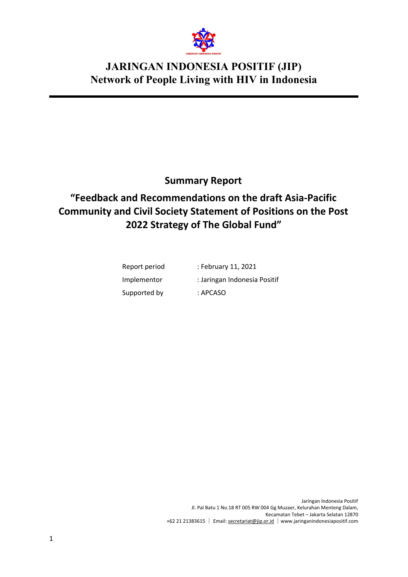

### **Summary Report**

# **"Feedback and Recommendations on the draft Asia-Pacific Community and Civil Society Statement of Positions on the Post 2022 Strategy of The Global Fund"**

| Report period | : February 11, 2021          |
|---------------|------------------------------|
| Implementor   | : Jaringan Indonesia Positif |
| Supported by  | : APCASO                     |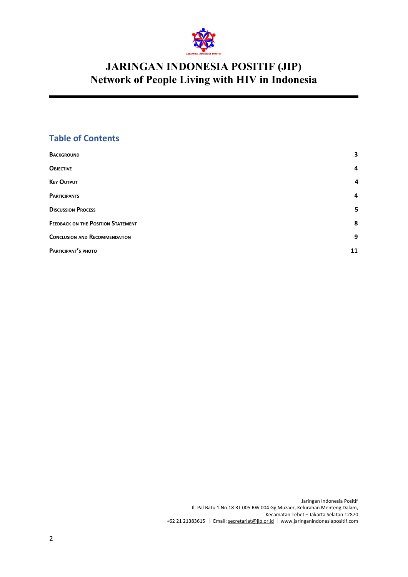

#### **Table of Contents**

| <b>BACKGROUND</b>                         | 3  |
|-------------------------------------------|----|
| <b>OBJECTIVE</b>                          | 4  |
| <b>KEY OUTPUT</b>                         | 4  |
| <b>PARTICIPANTS</b>                       | 4  |
| <b>DISCUSSION PROCESS</b>                 | 5  |
| <b>FEEDBACK ON THE POSITION STATEMENT</b> | 8  |
| <b>CONCLUSION AND RECOMMENDATION</b>      | 9  |
| PARTICIPANT'S PHOTO                       | 11 |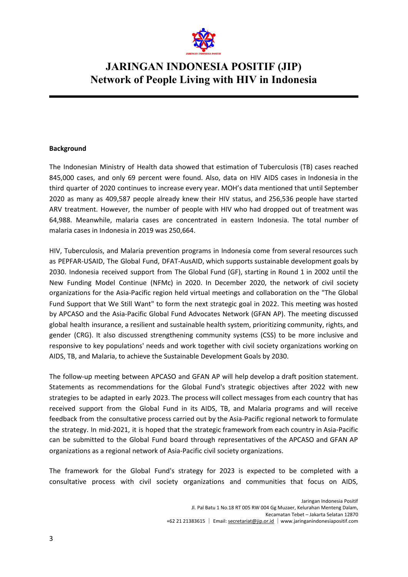

#### <span id="page-2-0"></span>**Background**

The Indonesian Ministry of Health data showed that estimation of Tuberculosis (TB) cases reached 845,000 cases, and only 69 percent were found. Also, data on HIV AIDS cases in Indonesia in the third quarter of 2020 continues to increase every year. MOH's data mentioned that until September 2020 as many as 409,587 people already knew their HIV status, and 256,536 people have started ARV treatment. However, the number of people with HIV who had dropped out of treatment was 64,988. Meanwhile, malaria cases are concentrated in eastern Indonesia. The total number of malaria cases in Indonesia in 2019 was 250,664.

HIV, Tuberculosis, and Malaria prevention programs in Indonesia come from several resources such as PEPFAR-USAID, The Global Fund, DFAT-AusAID, which supports sustainable development goals by 2030. Indonesia received support from The Global Fund (GF), starting in Round 1 in 2002 until the New Funding Model Continue (NFMc) in 2020. In December 2020, the network of civil society organizations for the Asia-Pacific region held virtual meetings and collaboration on the "The Global Fund Support that We Still Want" to form the next strategic goal in 2022. This meeting was hosted by APCASO and the Asia-Pacific Global Fund Advocates Network (GFAN AP). The meeting discussed global health insurance, a resilient and sustainable health system, prioritizing community, rights, and gender (CRG). It also discussed strengthening community systems (CSS) to be more inclusive and responsive to key populations' needs and work together with civil society organizations working on AIDS, TB, and Malaria, to achieve the Sustainable Development Goals by 2030.

The follow-up meeting between APCASO and GFAN AP will help develop a draft position statement. Statements as recommendations for the Global Fund's strategic objectives after 2022 with new strategies to be adapted in early 2023. The process will collect messages from each country that has received support from the Global Fund in its AIDS, TB, and Malaria programs and will receive feedback from the consultative process carried out by the Asia-Pacific regional network to formulate the strategy. In mid-2021, it is hoped that the strategic framework from each country in Asia-Pacific can be submitted to the Global Fund board through representatives of the APCASO and GFAN AP organizations as a regional network of Asia-Pacific civil society organizations.

The framework for the Global Fund's strategy for 2023 is expected to be completed with a consultative process with civil society organizations and communities that focus on AIDS,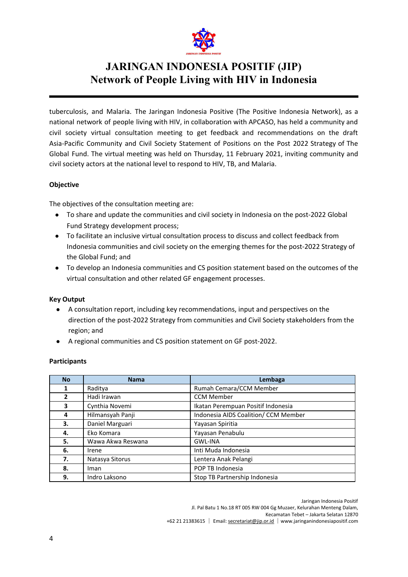

tuberculosis, and Malaria. The Jaringan Indonesia Positive (The Positive Indonesia Network), as a national network of people living with HIV, in collaboration with APCASO, has held a community and civil society virtual consultation meeting to get feedback and recommendations on the draft Asia-Pacific Community and Civil Society Statement of Positions on the Post 2022 Strategy of The Global Fund. The virtual meeting was held on Thursday, 11 February 2021, inviting community and civil society actors at the national level to respond to HIV, TB, and Malaria.

#### <span id="page-3-0"></span>**Objective**

The objectives of the consultation meeting are:

- To share and update the communities and civil society in Indonesia on the post-2022 Global Fund Strategy development process;
- To facilitate an inclusive virtual consultation process to discuss and collect feedback from Indonesia communities and civil society on the emerging themes for the post-2022 Strategy of the Global Fund; and
- To develop an Indonesia communities and CS position statement based on the outcomes of the virtual consultation and other related GF engagement processes.

#### <span id="page-3-1"></span>**Key Output**

- A consultation report, including key recommendations, input and perspectives on the direction of the post-2022 Strategy from communities and Civil Society stakeholders from the region; and
- A regional communities and CS position statement on GF post-2022.

#### <span id="page-3-2"></span>**Participants**

| <b>No</b>    | <b>Nama</b>       | Lembaga                              |  |  |  |
|--------------|-------------------|--------------------------------------|--|--|--|
| 1            | Raditya           | Rumah Cemara/CCM Member              |  |  |  |
| $\mathbf{2}$ | Hadi Irawan       | <b>CCM Member</b>                    |  |  |  |
| 3            | Cynthia Novemi    | Ikatan Perempuan Positif Indonesia   |  |  |  |
| 4            | Hilmansyah Panji  | Indonesia AIDS Coalition/ CCM Member |  |  |  |
| 3.           | Daniel Marguari   | Yayasan Spiritia                     |  |  |  |
| 4.           | Eko Komara        | Yayasan Penabulu                     |  |  |  |
| 5.           | Wawa Akwa Reswana | <b>GWL-INA</b>                       |  |  |  |
| 6.           | Irene             | Inti Muda Indonesia                  |  |  |  |
| 7.           | Natasya Sitorus   | Lentera Anak Pelangi                 |  |  |  |
| 8.           | Iman              | POP TB Indonesia                     |  |  |  |
| 9.           | Indro Laksono     | Stop TB Partnership Indonesia        |  |  |  |

Jaringan Indonesia Positif

Jl. Pal Batu 1 No.18 RT 005 RW 004 Gg Muzaer, Kelurahan Menteng Dalam,

Kecamatan Tebet – Jakarta Selatan 12870 +62 21 21383615 │ Email: secretariat@jip.or.id │[www.jaringanindonesiapositif.com](http://www.jaringanindonesiapositif.com/)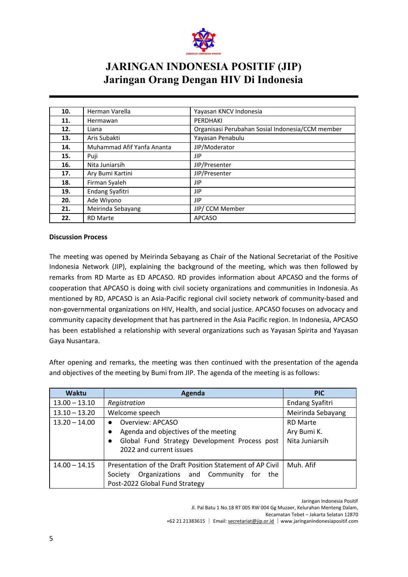

| 10. | Herman Varella             | Yayasan KNCV Indonesia                           |  |  |
|-----|----------------------------|--------------------------------------------------|--|--|
| 11. | Hermawan                   | PERDHAKI                                         |  |  |
| 12. | Liana                      | Organisasi Perubahan Sosial Indonesia/CCM member |  |  |
| 13. | Aris Subakti               | Yayasan Penabulu                                 |  |  |
| 14. | Muhammad Afif Yanfa Ananta | JIP/Moderator                                    |  |  |
| 15. | Puji                       | JIP                                              |  |  |
| 16. | Nita Juniarsih             | JIP/Presenter                                    |  |  |
| 17. | Ary Bumi Kartini           | JIP/Presenter                                    |  |  |
| 18. | Firman Syaleh              | JIP                                              |  |  |
| 19. | Endang Syafitri            | JIP                                              |  |  |
| 20. | Ade Wiyono                 | JIP                                              |  |  |
| 21. | Meirinda Sebayang          | JIP/ CCM Member                                  |  |  |
| 22. | <b>RD Marte</b>            | <b>APCASO</b>                                    |  |  |

#### <span id="page-4-0"></span>**Discussion Process**

The meeting was opened by Meirinda Sebayang as Chair of the National Secretariat of the Positive Indonesia Network (JIP), explaining the background of the meeting, which was then followed by remarks from RD Marte as ED APCASO. RD provides information about APCASO and the forms of cooperation that APCASO is doing with civil society organizations and communities in Indonesia. As mentioned by RD, APCASO is an Asia-Pacific regional civil society network of community-based and non-governmental organizations on HIV, Health, and social justice. APCASO focuses on advocacy and community capacity development that has partnered in the Asia Pacific region. In Indonesia, APCASO has been established a relationship with several organizations such as Yayasan Spirita and Yayasan Gaya Nusantara.

After opening and remarks, the meeting was then continued with the presentation of the agenda and objectives of the meeting by Bumi from JIP. The agenda of the meeting is as follows:

| <b>Waktu</b>    | Agenda                                                                   | <b>PIC</b>        |
|-----------------|--------------------------------------------------------------------------|-------------------|
| $13.00 - 13.10$ | Registration                                                             | Endang Syafitri   |
| $13.10 - 13.20$ | Welcome speech                                                           | Meirinda Sebayang |
| $13.20 - 14.00$ | Overview: APCASO<br>$\bullet$                                            | <b>RD Marte</b>   |
|                 | Agenda and objectives of the meeting                                     | Ary Bumi K.       |
|                 | Global Fund Strategy Development Process post<br>2022 and current issues | Nita Juniarsih    |
|                 |                                                                          |                   |
| $14.00 - 14.15$ | Presentation of the Draft Position Statement of AP Civil                 | Muh. Afif         |
|                 | Organizations and Community for<br>Society<br>the                        |                   |
|                 | Post-2022 Global Fund Strategy                                           |                   |

Jaringan Indonesia Positif

Jl. Pal Batu 1 No.18 RT 005 RW 004 Gg Muzaer, Kelurahan Menteng Dalam,

Kecamatan Tebet – Jakarta Selatan 12870

 <sup>+62 21 21383615</sup> │ Email: secretariat@jip.or.id │[www.jaringanindonesiapositif.com](http://www.jaringanindonesiapositif.com/)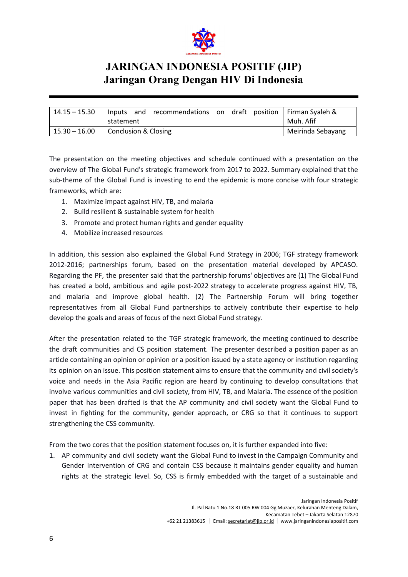

| $14.15 - 15.30$ | and recommendations on draft position   Firman Syaleh &<br>Inputs<br>statement |  | Muh. Afif         |
|-----------------|--------------------------------------------------------------------------------|--|-------------------|
| $15.30 - 16.00$ | Conclusion & Closing                                                           |  | Meirinda Sebayang |

The presentation on the meeting objectives and schedule continued with a presentation on the overview of The Global Fund's strategic framework from 2017 to 2022. Summary explained that the sub-theme of the Global Fund is investing to end the epidemic is more concise with four strategic frameworks, which are:

- 1. Maximize impact against HIV, TB, and malaria
- 2. Build resilient & sustainable system for health
- 3. Promote and protect human rights and gender equality
- 4. Mobilize increased resources

In addition, this session also explained the Global Fund Strategy in 2006; TGF strategy framework 2012-2016; partnerships forum, based on the presentation material developed by APCASO. Regarding the PF, the presenter said that the partnership forums' objectives are (1) The Global Fund has created a bold, ambitious and agile post-2022 strategy to accelerate progress against HIV, TB, and malaria and improve global health. (2) The Partnership Forum will bring together representatives from all Global Fund partnerships to actively contribute their expertise to help develop the goals and areas of focus of the next Global Fund strategy.

After the presentation related to the TGF strategic framework, the meeting continued to describe the draft communities and CS position statement. The presenter described a position paper as an article containing an opinion or opinion or a position issued by a state agency or institution regarding its opinion on an issue. This position statement aims to ensure that the community and civil society's voice and needs in the Asia Pacific region are heard by continuing to develop consultations that involve various communities and civil society, from HIV, TB, and Malaria. The essence of the position paper that has been drafted is that the AP community and civil society want the Global Fund to invest in fighting for the community, gender approach, or CRG so that it continues to support strengthening the CSS community.

From the two cores that the position statement focuses on, it is further expanded into five:

1. AP community and civil society want the Global Fund to invest in the Campaign Community and Gender Intervention of CRG and contain CSS because it maintains gender equality and human rights at the strategic level. So, CSS is firmly embedded with the target of a sustainable and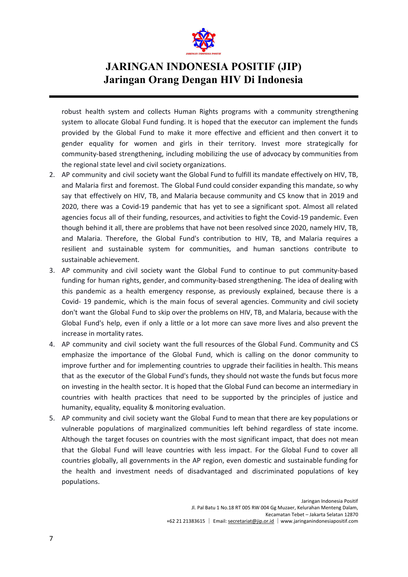

robust health system and collects Human Rights programs with a community strengthening system to allocate Global Fund funding. It is hoped that the executor can implement the funds provided by the Global Fund to make it more effective and efficient and then convert it to gender equality for women and girls in their territory. Invest more strategically for community-based strengthening, including mobilizing the use of advocacy by communities from the regional state level and civil society organizations.

- 2. AP community and civil society want the Global Fund to fulfill its mandate effectively on HIV, TB, and Malaria first and foremost. The Global Fund could consider expanding this mandate, so why say that effectively on HIV, TB, and Malaria because community and CS know that in 2019 and 2020, there was a Covid-19 pandemic that has yet to see a significant spot. Almost all related agencies focus all of their funding, resources, and activities to fight the Covid-19 pandemic. Even though behind it all, there are problems that have not been resolved since 2020, namely HIV, TB, and Malaria. Therefore, the Global Fund's contribution to HIV, TB, and Malaria requires a resilient and sustainable system for communities, and human sanctions contribute to sustainable achievement.
- 3. AP community and civil society want the Global Fund to continue to put community-based funding for human rights, gender, and community-based strengthening. The idea of dealing with this pandemic as a health emergency response, as previously explained, because there is a Covid- 19 pandemic, which is the main focus of several agencies. Community and civil society don't want the Global Fund to skip over the problems on HIV, TB, and Malaria, because with the Global Fund's help, even if only a little or a lot more can save more lives and also prevent the increase in mortality rates.
- 4. AP community and civil society want the full resources of the Global Fund. Community and CS emphasize the importance of the Global Fund, which is calling on the donor community to improve further and for implementing countries to upgrade their facilities in health. This means that as the executor of the Global Fund's funds, they should not waste the funds but focus more on investing in the health sector. It is hoped that the Global Fund can become an intermediary in countries with health practices that need to be supported by the principles of justice and humanity, equality, equality & monitoring evaluation.
- 5. AP community and civil society want the Global Fund to mean that there are key populations or vulnerable populations of marginalized communities left behind regardless of state income. Although the target focuses on countries with the most significant impact, that does not mean that the Global Fund will leave countries with less impact. For the Global Fund to cover all countries globally, all governments in the AP region, even domestic and sustainable funding for the health and investment needs of disadvantaged and discriminated populations of key populations.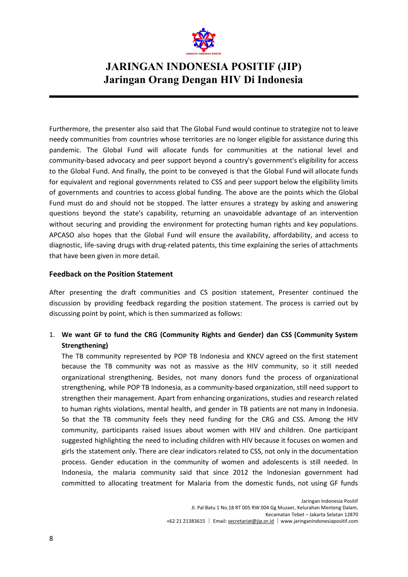

Furthermore, the presenter also said that The Global Fund would continue to strategize not to leave needy communities from countries whose territories are no longer eligible for assistance during this pandemic. The Global Fund will allocate funds for communities at the national level and community-based advocacy and peer support beyond a country's government's eligibility for access to the Global Fund. And finally, the point to be conveyed is that the Global Fund will allocate funds for equivalent and regional governments related to CSS and peer support below the eligibility limits of governments and countries to access global funding. The above are the points which the Global Fund must do and should not be stopped. The latter ensures a strategy by asking and answering questions beyond the state's capability, returning an unavoidable advantage of an intervention without securing and providing the environment for protecting human rights and key populations. APCASO also hopes that the Global Fund will ensure the availability, affordability, and access to diagnostic, life-saving drugs with drug-related patents, this time explaining the series of attachments that have been given in more detail.

#### <span id="page-7-0"></span>**Feedback on the Position Statement**

After presenting the draft communities and CS position statement, Presenter continued the discussion by providing feedback regarding the position statement. The process is carried out by discussing point by point, which is then summarized as follows:

1. **We want GF to fund the CRG (Community Rights and Gender) dan CSS (Community System Strengthening)**

The TB community represented by POP TB Indonesia and KNCV agreed on the first statement because the TB community was not as massive as the HIV community, so it still needed organizational strengthening. Besides, not many donors fund the process of organizational strengthening, while POP TB Indonesia, as a community-based organization, still need support to strengthen their management. Apart from enhancing organizations, studies and research related to human rights violations, mental health, and gender in TB patients are not many in Indonesia. So that the TB community feels they need funding for the CRG and CSS. Among the HIV community, participants raised issues about women with HIV and children. One participant suggested highlighting the need to including children with HIV because it focuses on women and girls the statement only. There are clear indicators related to CSS, not only in the documentation process. Gender education in the community of women and adolescents is still needed. In Indonesia, the malaria community said that since 2012 the Indonesian government had committed to allocating treatment for Malaria from the domestic funds, not using GF funds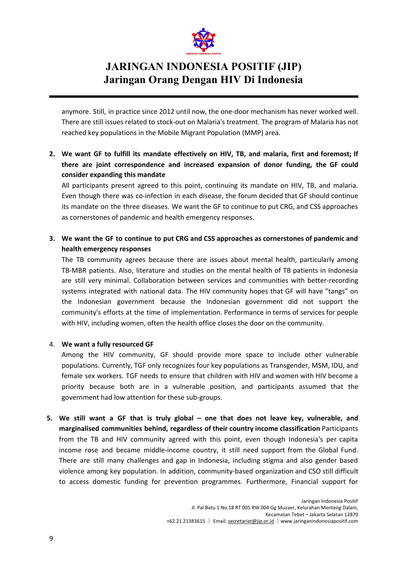

anymore. Still, in practice since 2012 until now, the one-door mechanism has never worked well. There are still issues related to stock-out on Malaria's treatment. The program of Malaria has not reached key populations in the Mobile Migrant Population (MMP) area.

**2. We want GF to fulfill its mandate effectively on HIV, TB, and malaria, first and foremost; If there are joint correspondence and increased expansion of donor funding, the GF could consider expanding this mandate** 

All participants present agreed to this point, continuing its mandate on HIV, TB, and malaria. Even though there was co-infection in each disease, the forum decided that GF should continue its mandate on the three diseases. We want the GF to continue to put CRG, and CSS approaches as cornerstones of pandemic and health emergency responses.

**3. We want the GF to continue to put CRG and CSS approaches as cornerstones of pandemic and health emergency responses** 

The TB community agrees because there are issues about mental health, particularly among TB-MBR patients. Also, literature and studies on the mental health of TB patients in Indonesia are still very minimal. Collaboration between services and communities with better-recording systems integrated with national data. The HIV community hopes that GF will have "tangs" on the Indonesian government because the Indonesian government did not support the community's efforts at the time of implementation. Performance in terms of services for people with HIV, including women, often the health office closes the door on the community.

#### 4. **We want a fully resourced GF**

Among the HIV community, GF should provide more space to include other vulnerable populations. Currently, TGF only recognizes four key populations as Transgender, MSM, IDU, and female sex workers. TGF needs to ensure that children with HIV and women with HIV become a priority because both are in a vulnerable position, and participants assumed that the government had low attention for these sub-groups.

**5. We still want a GF that is truly global – one that does not leave key, vulnerable, and**  marginalised communities behind, regardless of their country income classification Participants from the TB and HIV community agreed with this point, even though Indonesia's per capita income rose and became middle-income country, it still need support from the Global Fund. There are still many challenges and gap in Indonesia, including stigma and also gender based violence among key population. In addition, community-based organization and CSO still difficult to access domestic funding for prevention programmes. Furthermore, Financial support for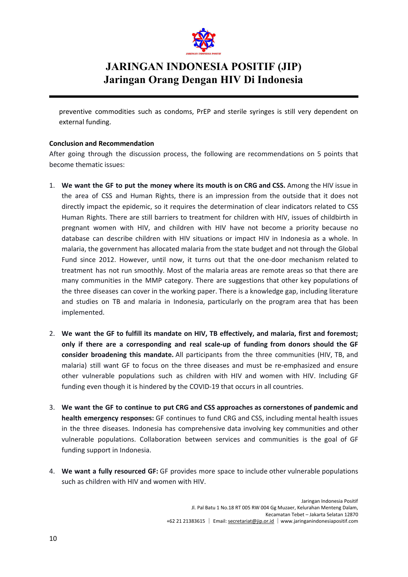

preventive commodities such as condoms, PrEP and sterile syringes is still very dependent on external funding.

#### <span id="page-9-0"></span>**Conclusion and Recommendation**

After going through the discussion process, the following are recommendations on 5 points that become thematic issues:

- 1. **We want the GF to put the money where its mouth is on CRG and CSS.** Among the HIV issue in the area of CSS and Human Rights, there is an impression from the outside that it does not directly impact the epidemic, so it requires the determination of clear indicators related to CSS Human Rights. There are still barriers to treatment for children with HIV, issues of childbirth in pregnant women with HIV, and children with HIV have not become a priority because no database can describe children with HIV situations or impact HIV in Indonesia as a whole. In malaria, the government has allocated malaria from the state budget and not through the Global Fund since 2012. However, until now, it turns out that the one-door mechanism related to treatment has not run smoothly. Most of the malaria areas are remote areas so that there are many communities in the MMP category. There are suggestions that other key populations of the three diseases can cover in the working paper. There is a knowledge gap, including literature and studies on TB and malaria in Indonesia, particularly on the program area that has been implemented.
- 2. **We want the GF to fulfill its mandate on HIV, TB effectively, and malaria, first and foremost; only if there are a corresponding and real scale-up of funding from donors should the GF consider broadening this mandate.** All participants from the three communities (HIV, TB, and malaria) still want GF to focus on the three diseases and must be re-emphasized and ensure other vulnerable populations such as children with HIV and women with HIV. Including GF funding even though it is hindered by the COVID-19 that occurs in all countries.
- 3. **We want the GF to continue to put CRG and CSS approaches as cornerstones of pandemic and**  health emergency responses: GF continues to fund CRG and CSS, including mental health issues in the three diseases. Indonesia has comprehensive data involving key communities and other vulnerable populations. Collaboration between services and communities is the goal of GF funding support in Indonesia.
- 4. We want a fully resourced GF: GF provides more space to include other vulnerable populations such as children with HIV and women with HIV.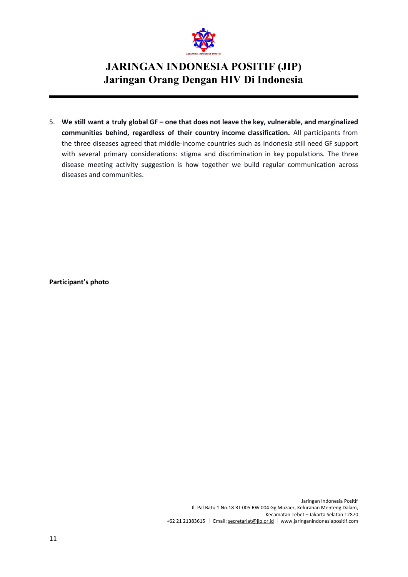

5. **We still want a truly global GF – one that does not leave the key, vulnerable, and marginalized communities behind, regardless of their country income clas sification.** All participants from the three diseases agreed that middle-income countries such as Indonesia still need GF support with several primary considerations: stigma and discrimination in key populations. The three disease meeting activity suggestion is how together we build regular communication across diseases and communities.

<span id="page-10-0"></span>**Participant's photo**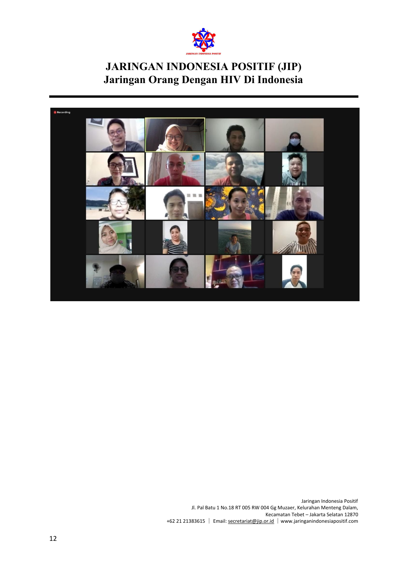